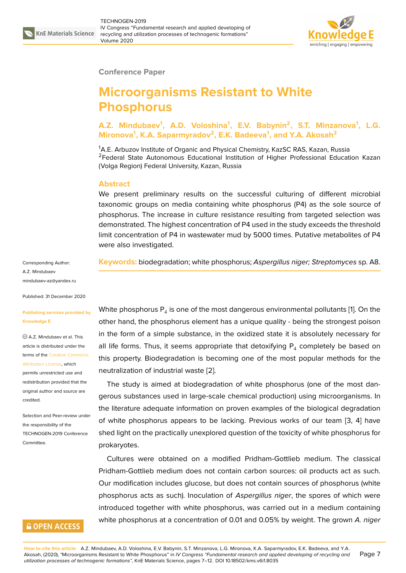

### **Conference Paper**

# **Microorganisms Resistant to White Phosphorus**

**A.Z. Mindubaev<sup>1</sup> , A.D. Voloshina<sup>1</sup> , E.V. Babynin<sup>2</sup> , S.T. Minzanova<sup>1</sup> , L.G. Mironova<sup>1</sup> , K.A. Saparmyradov<sup>2</sup> , E.K. Badeeva<sup>1</sup> , and Y.A. Akosah<sup>2</sup>**

<sup>1</sup>A.E. Arbuzov Institute of Organic and Physical Chemistry, KazSC RAS, Kazan, Russia <sup>2</sup>Federal State Autonomous Educational Institution of Higher Professional Education Kazan (Volga Region) Federal University, Kazan, Russia

## **Abstract**

We present preliminary results on the successful culturing of different microbial taxonomic groups on media containing white phosphorus (P4) as the sole source of phosphorus. The increase in culture resistance resulting from targeted selection was demonstrated. The highest concentration of P4 used in the study exceeds the threshold limit concentration of P4 in wastewater mud by 5000 times. Putative metabolites of P4 were also investigated.

**Keywords:** biodegradation; white phosphorus; *Aspergillus niger; Streptomyces* sp. A8.

Corresponding Author: A.Z. Mindubaev mindubaev-az@yandex.ru

Published: 31 December 2020

#### **[Publishing services provid](mailto:mindubaev-az@yandex.ru)ed by Knowledge E**

A.Z. Mindubaev et al. This article is distributed under the terms of the Creative Commons Attribution License, which

permits unrestricted use and redistribution provided that the original auth[or and source are](https://creativecommons.org/licenses/by/4.0/) [credited.](https://creativecommons.org/licenses/by/4.0/)

Selection and Peer-review under the responsibility of the TECHNOGEN-2019 Conference Committee.

## **GOPEN ACCESS**

White phosphorus  ${\sf P}_4$  is one of the most dangerous environmental pollutants [1]. On the other hand, the phosphorus element has a unique quality - being the strongest poison in the form of a simple substance, in the oxidized state it is absolutely necessary for all life forms. Thus, it seems appropriate that detoxifying  $\mathsf{P}_4$  completely [b](#page-5-0)e based on this property. Biodegradation is becoming one of the most popular methods for the neutralization of industrial waste [2].

The study is aimed at biodegradation of white phosphorus (one of the most dangerous substances used in large-scale chemical production) using microorganisms. In the literature adequate informati[on](#page-5-1) on proven examples of the biological degradation of white phosphorus appears to be lacking. Previous works of our team [3, 4] have shed light on the practically unexplored question of the toxicity of white phosphorus for prokaryotes.

Cultures were obtained on a modified Pridham-Gottlieb medium. Th[e](#page-5-2) [cla](#page-5-3)ssical Pridham-Gottlieb medium does not contain carbon sources: oil products act as such. Our modification includes glucose, but does not contain sources of phosphorus (white phosphorus acts as such). Inoculation of *Aspergillus niger*, the spores of which were introduced together with white phosphorus, was carried out in a medium containing white phosphorus at a concentration of 0.01 and 0.05% by weight. The grown *A. niger*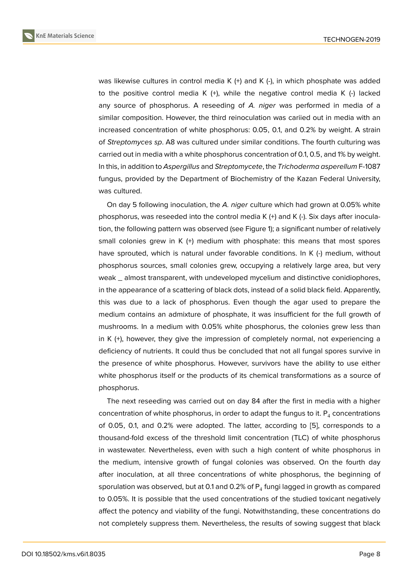was likewise cultures in control media K (+) and K (-), in which phosphate was added to the positive control media K  $(+)$ , while the negative control media K  $(-)$  lacked any source of phosphorus. A reseeding of *A. niger* was performed in media of a similar composition. However, the third reinoculation was cariied out in media with an increased concentration of white phosphorus: 0.05, 0.1, and 0.2% by weight. A strain of *Streptomyces sp*. A8 was cultured under similar conditions. The fourth culturing was carried out in media with a white phosphorus concentration of 0.1, 0.5, and 1% by weight. In this, in addition to *Aspergillus* and *Streptomycete*, the *Trichoderma asperellum* F-1087 fungus, provided by the Department of Biochemistry of the Kazan Federal University, was cultured.

On day 5 following inoculation, the *A. niger* culture which had grown at 0.05% white phosphorus, was reseeded into the control media K (+) and K (-). Six days after inoculation, the following pattern was observed (see Figure 1); a significant number of relatively small colonies grew in K (+) medium with phosphate: this means that most spores have sprouted, which is natural under favorable conditions. In K (-) medium, without phosphorus sources, small colonies grew, occupyi[ng](#page-2-0) a relatively large area, but very weak \_ almost transparent, with undeveloped mycelium and distinctive conidiophores, in the appearance of a scattering of black dots, instead of a solid black field. Apparently, this was due to a lack of phosphorus. Even though the agar used to prepare the medium contains an admixture of phosphate, it was insufficient for the full growth of mushrooms. In a medium with 0.05% white phosphorus, the colonies grew less than in K (+), however, they give the impression of completely normal, not experiencing a deficiency of nutrients. It could thus be concluded that not all fungal spores survive in the presence of white phosphorus. However, survivors have the ability to use either white phosphorus itself or the products of its chemical transformations as a source of phosphorus.

The next reseeding was carried out on day 84 after the first in media with a higher concentration of white phosphorus, in order to adapt the fungus to it.  $\mathsf{P}_4$  concentrations of 0.05, 0.1, and 0.2% were adopted. The latter, according to [5], corresponds to a thousand-fold excess of the threshold limit concentration (TLC) of white phosphorus in wastewater. Nevertheless, even with such a high content of white phosphorus in the medium, intensive growth of fungal colonies was observe[d.](#page-5-4) On the fourth day after inoculation, at all three concentrations of white phosphorus, the beginning of sporulation was observed, but at 0.1 and 0.2% of  $\mathsf{P}_4$  fungi lagged in growth as compared to 0.05%. It is possible that the used concentrations of the studied toxicant negatively affect the potency and viability of the fungi. Notwithstanding, these concentrations do not completely suppress them. Nevertheless, the results of sowing suggest that black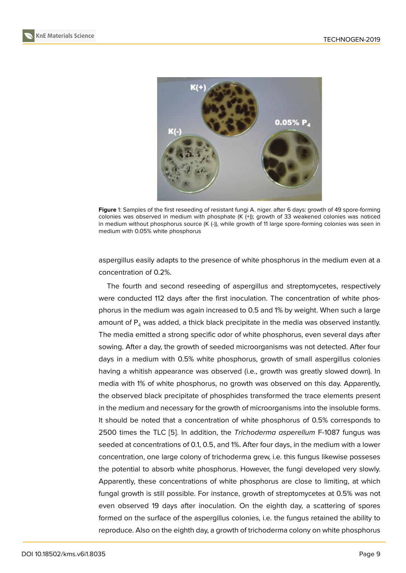

**Figure** 1: Samples of the first reseeding of resistant fungi A. niger. after 6 days: growth of 49 spore-forming colonies was observed in medium with phosphate (K (+)); growth of 33 weakened colonies was noticed in medium without phosphorus source (K (-)), while growth of 11 large spore-forming colonies was seen in medium with 0.05% white phosphorus

<span id="page-2-0"></span>aspergillus easily adapts to the presence of white phosphorus in the medium even at a concentration of 0.2%.

The fourth and second reseeding of aspergillus and streptomycetes, respectively were conducted 112 days after the first inoculation. The concentration of white phosphorus in the medium was again increased to 0.5 and 1% by weight. When such a large amount of  $P_4$  was added, a thick black precipitate in the media was observed instantly. The media emitted a strong specific odor of white phosphorus, even several days after sowing. After a day, the growth of seeded microorganisms was not detected. After four days in a medium with 0.5% white phosphorus, growth of small aspergillus colonies having a whitish appearance was observed (i.e., growth was greatly slowed down). In media with 1% of white phosphorus, no growth was observed on this day. Apparently, the observed black precipitate of phosphides transformed the trace elements present in the medium and necessary for the growth of microorganisms into the insoluble forms. It should be noted that a concentration of white phosphorus of 0.5% corresponds to 2500 times the TLC [5]. In addition, the *Trichoderma asperellum* F-1087 fungus was seeded at concentrations of 0.1, 0.5, and 1%. After four days, in the medium with a lower concentration, one large colony of trichoderma grew, i.e. this fungus likewise posseses the potential to absor[b](#page-5-4) white phosphorus. However, the fungi developed very slowly. Apparently, these concentrations of white phosphorus are close to limiting, at which fungal growth is still possible. For instance, growth of streptomycetes at 0.5% was not even observed 19 days after inoculation. On the eighth day, a scattering of spores formed on the surface of the aspergillus colonies, i.e. the fungus retained the ability to reproduce. Also on the eighth day, a growth of trichoderma colony on white phosphorus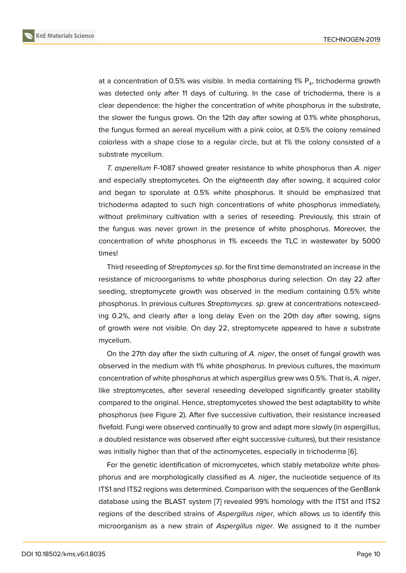at a concentration of 0.5% was visible. In media containing 1%  $\mathsf{P}_4$ , trichoderma growth was detected only after 11 days of culturing. In the case of trichoderma, there is a clear dependence: the higher the concentration of white phosphorus in the substrate, the slower the fungus grows. On the 12th day after sowing at 0.1% white phosphorus, the fungus formed an aereal mycelium with a pink color, at 0.5% the colony remained colorless with a shape close to a regular circle, but at 1% the colony consisted of a substrate mycelium.

*T. asperellum* F-1087 showed greater resistance to white phosphorus than *A. niger* and especially streptomycetes. On the eighteenth day after sowing, it acquired color and began to sporulate at 0.5% white phosphorus. It should be emphasized that trichoderma adapted to such high concentrations of white phosphorus immediately, without preliminary cultivation with a series of reseeding. Previously, this strain of the fungus was never grown in the presence of white phosphorus. Moreover, the concentration of white phosphorus in 1% exceeds the TLC in wastewater by 5000 times!

Third reseeding of *Streptomyces sp*. for the first time demonstrated an increase in the resistance of microorganisms to white phosphorus during selection. On day 22 after seeding, streptomycete growth was observed in the medium containing 0.5% white phosphorus. In previous cultures *Streptomyces. sp*. grew at concentrations notexceeding 0.2%, and clearly after a long delay. Even on the 20th day after sowing, signs of growth were not visible. On day 22, streptomycete appeared to have a substrate mycelium.

On the 27th day after the sixth culturing of *A. niger*, the onset of fungal growth was observed in the medium with 1% white phosphorus. In previous cultures, the maximum concentration of white phosphorus at which aspergillus grew was 0.5%. That is, *A. niger*, like streptomycetes, after several reseeding developed significantly greater stability compared to the original. Hence, streptomycetes showed the best adaptability to white phosphorus (see Figure 2). After five successive cultivation, their resistance increased fivefold. Fungi were observed continually to grow and adapt more slowly (in aspergillus, a doubled resistance was observed after eight successive cultures), but their resistance was initially higher than [th](#page-4-0)at of the actinomycetes, especially in trichoderma [6].

For the genetic identification of micromycetes, which stably metabolize white phosphorus and are morphologically classified as *A. niger*, the nucleotide sequence of its ITS1 and ITS2 regions was determined. Comparison with the sequences of the [G](#page-5-5)enBank database using the BLAST system [7] revealed 99% homology with the ITS1 and ITS2 regions of the described strains of *Aspergillus niger*, which allows us to identify this microorganism as a new strain of *Aspergillus niger*. We assigned to it the number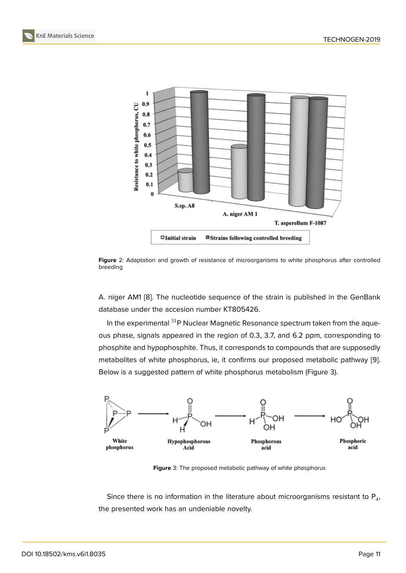

**Figure** 2: Adaptation and growth of resistance of microorganisms to white phosphorus after controlled breeding

<span id="page-4-0"></span>A. niger AM1 [8]. The nucleotide sequence of the strain is published in the GenBank database under the accesion number KT805426.

In the experimental  $31P$  Nuclear Magnetic Resonance spectrum taken from the aqueous phase, si[gn](#page-5-6)als appeared in the region of 0.3, 3.7, and 6.2 ppm, corresponding to phosphite and hypophosphite. Thus, it corresponds to compounds that are supposedly metabolites of white phosphorus, ie, it confirms our proposed metabolic pathway [9]. Below is a suggested pattern of white phosphorus metabolism (Figure 3).



**Figure** 3: The proposed metabolic pathway of white phosphorus

Since there is no information in the literature about microorganisms resistant to  $\mathsf{P}_4$ , the presented work has an undeniable novelty.